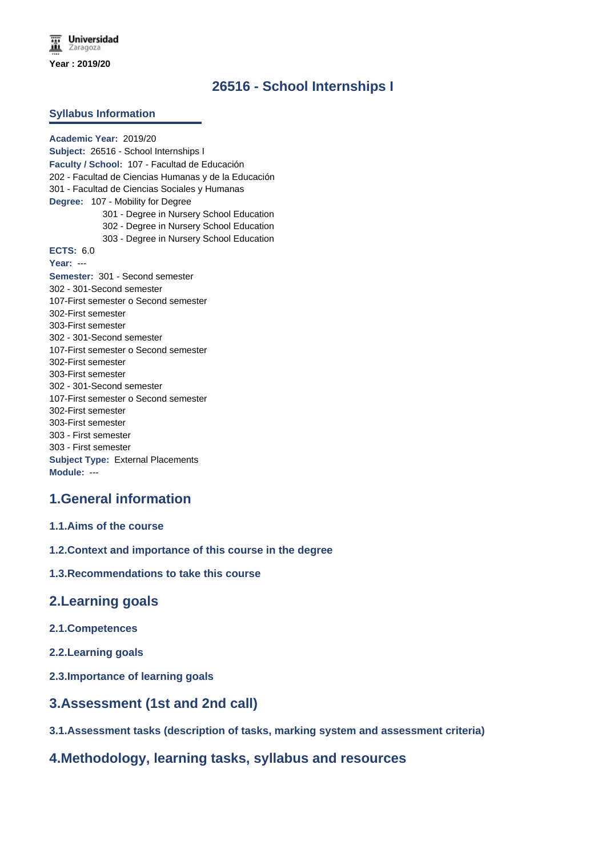# **26516 - School Internships I**

#### **Syllabus Information**

**Academic Year:** 2019/20 **Subject:** 26516 - School Internships I **Faculty / School:** 107 - Facultad de Educación 202 - Facultad de Ciencias Humanas y de la Educación 301 - Facultad de Ciencias Sociales y Humanas **Degree:** 107 - Mobility for Degree 301 - Degree in Nursery School Education 302 - Degree in Nursery School Education 303 - Degree in Nursery School Education **ECTS:** 6.0 **Year:** --- **Semester:** 301 - Second semester 302 - 301-Second semester 107-First semester o Second semester 302-First semester 303-First semester 302 - 301-Second semester 107-First semester o Second semester 302-First semester 303-First semester 302 - 301-Second semester 107-First semester o Second semester 302-First semester 303-First semester 303 - First semester 303 - First semester **Subject Type:** External Placements **Module:** ---

# **1.General information**

## **1.1.Aims of the course**

**1.2.Context and importance of this course in the degree**

## **1.3.Recommendations to take this course**

## **2.Learning goals**

- **2.1.Competences**
- **2.2.Learning goals**
- **2.3.Importance of learning goals**

## **3.Assessment (1st and 2nd call)**

**3.1.Assessment tasks (description of tasks, marking system and assessment criteria)**

# **4.Methodology, learning tasks, syllabus and resources**